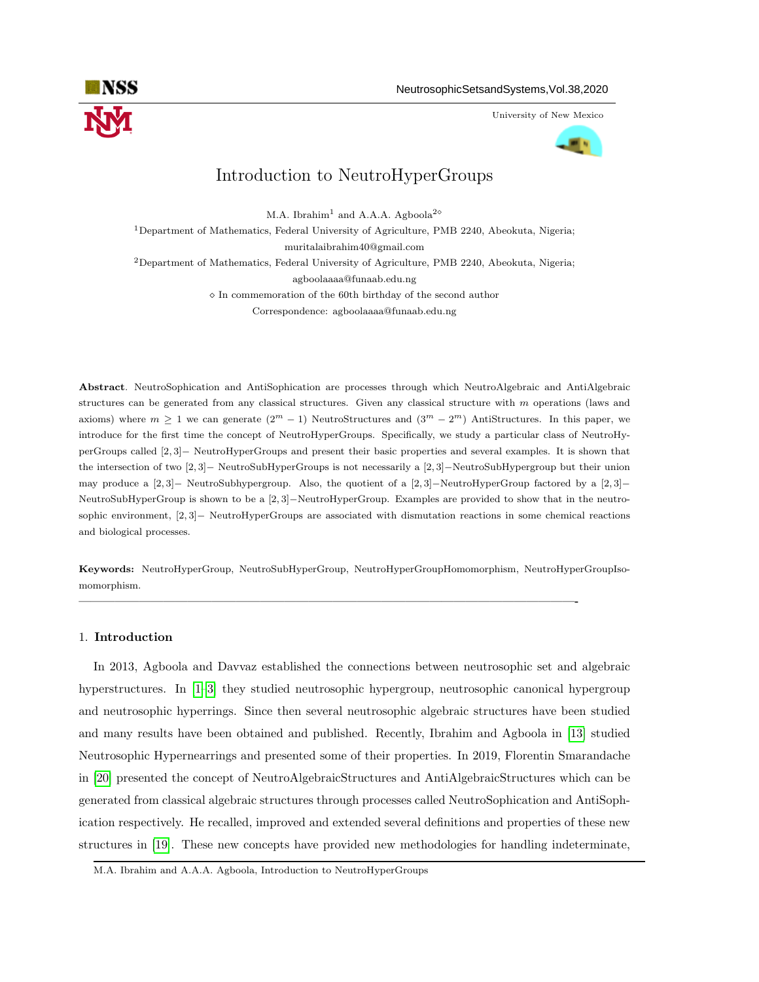

University of New Mexico



# Introduction to NeutroHyperGroups

M.A. Ibrahim<sup>1</sup> and A.A.A. Agboola<sup>2 $\diamond$ </sup>

<sup>1</sup>Department of Mathematics, Federal University of Agriculture, PMB 2240, Abeokuta, Nigeria; muritalaibrahim40@gmail.com <sup>2</sup>Department of Mathematics, Federal University of Agriculture, PMB 2240, Abeokuta, Nigeria; agboolaaaa@funaab.edu.ng  $\Diamond$  In commemoration of the 60th birthday of the second author

Correspondence: agboolaaaa@funaab.edu.ng

Abstract. NeutroSophication and AntiSophication are processes through which NeutroAlgebraic and AntiAlgebraic structures can be generated from any classical structures. Given any classical structure with m operations (laws and axioms) where  $m \ge 1$  we can generate  $(2^m - 1)$  NeutroStructures and  $(3^m - 2^m)$  AntiStructures. In this paper, we introduce for the first time the concept of NeutroHyperGroups. Specifically, we study a particular class of NeutroHyperGroups called [2, 3]− NeutroHyperGroups and present their basic properties and several examples. It is shown that the intersection of two [2, 3]− NeutroSubHyperGroups is not necessarily a [2, 3]−NeutroSubHypergroup but their union may produce a [2, 3]− NeutroSubhypergroup. Also, the quotient of a [2, 3]−NeutroHyperGroup factored by a [2, 3]− NeutroSubHyperGroup is shown to be a [2,3]–NeutroHyperGroup. Examples are provided to show that in the neutrosophic environment, [2,3]− NeutroHyperGroups are associated with dismutation reactions in some chemical reactions and biological processes.

Keywords: NeutroHyperGroup, NeutroSubHyperGroup, NeutroHyperGroupHomomorphism, NeutroHyperGroupIsomomorphism.

—————————————————————————————————————————-

#### 1. Introduction

In 2013, Agboola and Davvaz established the connections between neutrosophic set and algebraic hyperstructures. In [\[1](#page-17-0)[–3\]](#page-17-1) they studied neutrosophic hypergroup, neutrosophic canonical hypergroup and neutrosophic hyperrings. Since then several neutrosophic algebraic structures have been studied and many results have been obtained and published. Recently, Ibrahim and Agboola in [\[13\]](#page-17-2) studied Neutrosophic Hypernearrings and presented some of their properties. In 2019, Florentin Smarandache in [\[20\]](#page-17-3) presented the concept of NeutroAlgebraicStructures and AntiAlgebraicStructures which can be generated from classical algebraic structures through processes called NeutroSophication and AntiSophication respectively. He recalled, improved and extended several definitions and properties of these new structures in [\[19\]](#page-17-4). These new concepts have provided new methodologies for handling indeterminate,

M.A. Ibrahim and A.A.A. Agboola, Introduction to NeutroHyperGroups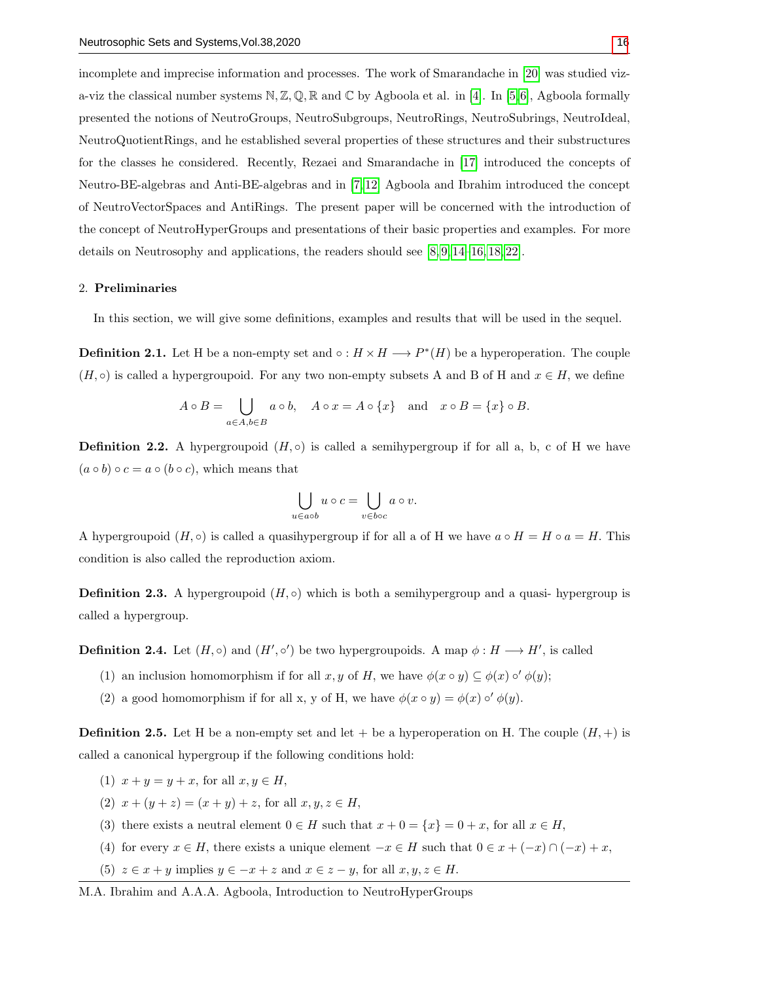incomplete and imprecise information and processes. The work of Smarandache in [\[20\]](#page-17-3) was studied viza-viz the classical number systems  $N, Z, Q, \mathbb{R}$  and  $\mathbb{C}$  by Agboola et al. in [\[4\]](#page-17-6). In [\[5,](#page-17-7)[6\]](#page-17-8), Agboola formally presented the notions of NeutroGroups, NeutroSubgroups, NeutroRings, NeutroSubrings, NeutroIdeal, NeutroQuotientRings, and he established several properties of these structures and their substructures for the classes he considered. Recently, Rezaei and Smarandache in [\[17\]](#page-17-9) introduced the concepts of Neutro-BE-algebras and Anti-BE-algebras and in [\[7,](#page-17-10) [12\]](#page-17-11) Agboola and Ibrahim introduced the concept of NeutroVectorSpaces and AntiRings. The present paper will be concerned with the introduction of the concept of NeutroHyperGroups and presentations of their basic properties and examples. For more details on Neutrosophy and applications, the readers should see [\[8,](#page-17-12) [9,](#page-17-13) [14–](#page-17-14)[16,](#page-17-15) [18,](#page-17-16) [22\]](#page-17-17).

#### 2. Preliminaries

In this section, we will give some definitions, examples and results that will be used in the sequel.

**Definition 2.1.** Let H be a non-empty set and  $\circ: H \times H \longrightarrow P^*(H)$  be a hyperoperation. The couple  $(H, \circ)$  is called a hypergroupoid. For any two non-empty subsets A and B of H and  $x \in H$ , we define

$$
A \circ B = \bigcup_{a \in A, b \in B} a \circ b, \quad A \circ x = A \circ \{x\} \quad \text{and} \quad x \circ B = \{x\} \circ B.
$$

**Definition 2.2.** A hypergroupoid  $(H, \circ)$  is called a semihypergroup if for all a, b, c of H we have  $(a \circ b) \circ c = a \circ (b \circ c)$ , which means that

$$
\bigcup_{u \in a \circ b} u \circ c = \bigcup_{v \in b \circ c} a \circ v.
$$

A hypergroupoid  $(H, \circ)$  is called a quasihypergroup if for all a of H we have  $a \circ H = H \circ a = H$ . This condition is also called the reproduction axiom.

**Definition 2.3.** A hypergroupoid  $(H, \circ)$  which is both a semihypergroup and a quasi- hypergroup is called a hypergroup.

**Definition 2.4.** Let  $(H, \circ)$  and  $(H', \circ')$  be two hypergroupoids. A map  $\phi : H \longrightarrow H'$ , is called

- (1) an inclusion homomorphism if for all  $x, y$  of H, we have  $\phi(x \circ y) \subseteq \phi(x) \circ' \phi(y)$ ;
- (2) a good homomorphism if for all x, y of H, we have  $\phi(x \circ y) = \phi(x) \circ' \phi(y)$ .

**Definition 2.5.** Let H be a non-empty set and let  $+$  be a hyperoperation on H. The couple  $(H, +)$  is called a canonical hypergroup if the following conditions hold:

- (1)  $x + y = y + x$ , for all  $x, y \in H$ ,
- (2)  $x + (y + z) = (x + y) + z$ , for all  $x, y, z \in H$ ,
- (3) there exists a neutral element  $0 \in H$  such that  $x + 0 = \{x\} = 0 + x$ , for all  $x \in H$ ,
- (4) for every  $x \in H$ , there exists a unique element  $-x \in H$  such that  $0 \in x + (-x) \cap (-x) + x$ ,
- (5)  $z \in x + y$  implies  $y \in -x + z$  and  $x \in z y$ , for all  $x, y, z \in H$ .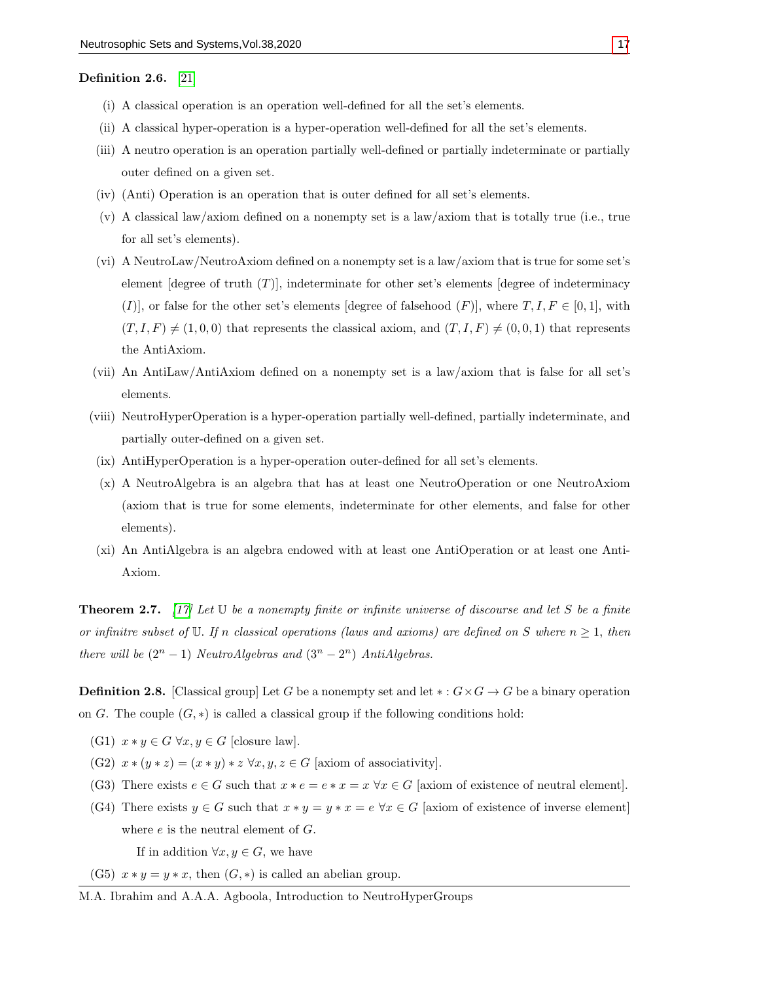#### Definition 2.6. [\[21\]](#page-17-18)

- (i) A classical operation is an operation well-defined for all the set's elements.
- (ii) A classical hyper-operation is a hyper-operation well-defined for all the set's elements.
- (iii) A neutro operation is an operation partially well-defined or partially indeterminate or partially outer defined on a given set.
- (iv) (Anti) Operation is an operation that is outer defined for all set's elements.
- (v) A classical law/axiom defined on a nonempty set is a law/axiom that is totally true (i.e., true for all set's elements).
- (vi) A NeutroLaw/NeutroAxiom defined on a nonempty set is a law/axiom that is true for some set's element  $[degree of truth (T)],$  indeterminate for other set's elements  $[degree of indeterminacy]$ (I)], or false for the other set's elements [degree of falsehood  $(F)$ ], where  $T, I, F \in [0, 1]$ , with  $(T, I, F) \neq (1, 0, 0)$  that represents the classical axiom, and  $(T, I, F) \neq (0, 0, 1)$  that represents the AntiAxiom.
- (vii) An AntiLaw/AntiAxiom defined on a nonempty set is a law/axiom that is false for all set's elements.
- (viii) NeutroHyperOperation is a hyper-operation partially well-defined, partially indeterminate, and partially outer-defined on a given set.
- (ix) AntiHyperOperation is a hyper-operation outer-defined for all set's elements.
- (x) A NeutroAlgebra is an algebra that has at least one NeutroOperation or one NeutroAxiom (axiom that is true for some elements, indeterminate for other elements, and false for other elements).
- (xi) An AntiAlgebra is an algebra endowed with at least one AntiOperation or at least one Anti-Axiom.

<span id="page-2-0"></span>**Theorem 2.7.** [\[17\]](#page-17-9) Let  $\mathbb U$  be a nonempty finite or infinite universe of discourse and let S be a finite or infinitre subset of U. If n classical operations (laws and axioms) are defined on S where  $n \geq 1$ , then there will be  $(2^n - 1)$  NeutroAlgebras and  $(3^n - 2^n)$  AntiAlgebras.

**Definition 2.8.** [Classical group] Let G be a nonempty set and let  $* : G \times G \to G$  be a binary operation on G. The couple  $(G, *)$  is called a classical group if the following conditions hold:

- (G1)  $x * y \in G \ \forall x, y \in G$  [closure law].
- (G2)  $x * (y * z) = (x * y) * z \forall x, y, z \in G$  [axiom of associativity].
- (G3) There exists  $e \in G$  such that  $x * e = e * x = x \forall x \in G$  [axiom of existence of neutral element].
- (G4) There exists  $y \in G$  such that  $x * y = y * x = e \forall x \in G$  [axiom of existence of inverse element] where  $e$  is the neutral element of  $G$ .

If in addition  $\forall x, y \in G$ , we have

- (G5)  $x * y = y * x$ , then  $(G, *)$  is called an abelian group.
- M.A. Ibrahim and A.A.A. Agboola, Introduction to NeutroHyperGroups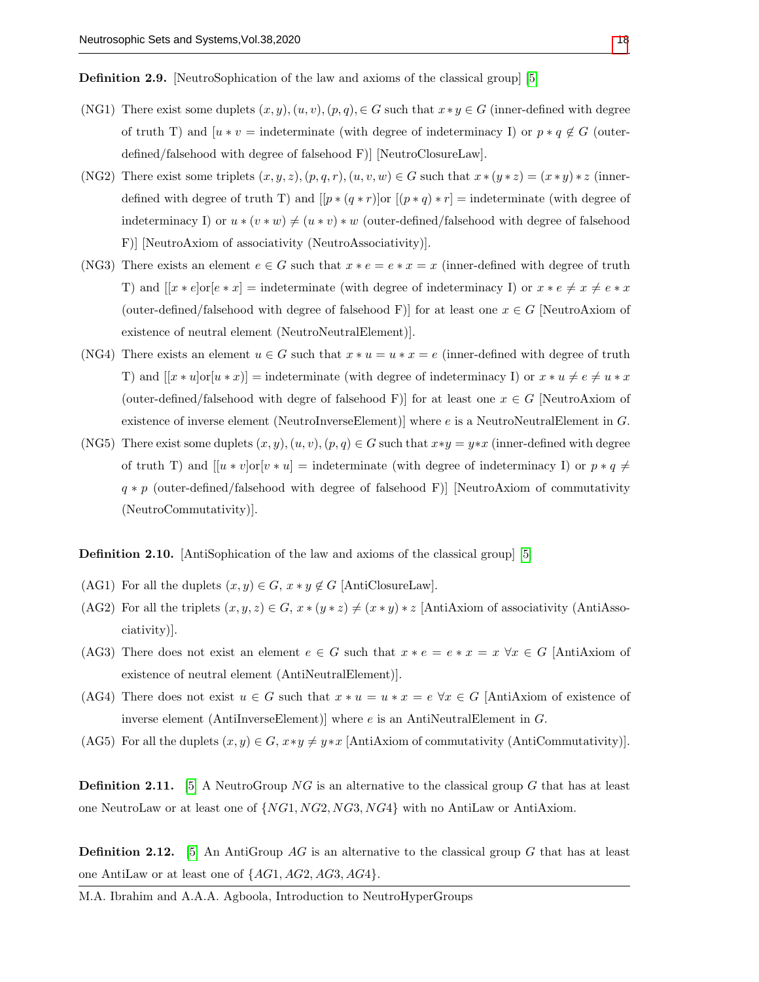Definition 2.9. [NeutroSophication of the law and axioms of the classical group] [\[5\]](#page-17-7)

- (NG1) There exist some duplets  $(x, y), (u, v), (p, q) \in G$  such that  $x * y \in G$  (inner-defined with degree of truth T) and  $[u * v = \text{indeterminate (with degree of indeterminacy I}) \text{ or } p * q \notin G$  (outerdefined/falsehood with degree of falsehood F)] [NeutroClosureLaw].
- (NG2) There exist some triplets  $(x, y, z), (p, q, r), (u, v, w) \in G$  such that  $x * (y * z) = (x * y) * z$  (innerdefined with degree of truth T) and  $[[p * (q * r)]or [(p * q) * r] = indeterminate$  (with degree of indeterminacy I) or  $u * (v * w) \neq (u * v) * w$  (outer-defined/falsehood with degree of falsehood F)] [NeutroAxiom of associativity (NeutroAssociativity)].
- (NG3) There exists an element  $e \in G$  such that  $x * e = e * x = x$  (inner-defined with degree of truth T) and  $[[x * e] \text{or} [e * x] = \text{indeterminate}$  (with degree of indeterminacy I) or  $x * e \neq x \neq e * x$ (outer-defined/falsehood with degree of falsehood F)] for at least one  $x \in G$  [NeutroAxiom of existence of neutral element (NeutroNeutralElement)].
- (NG4) There exists an element  $u \in G$  such that  $x * u = u * x = e$  (inner-defined with degree of truth T) and  $[[x * u] \text{or} [u * x]] = \text{indeterminate}$  (with degree of indeterminacy I) or  $x * u \neq e \neq u * x$ (outer-defined/falsehood with degre of falsehood F)] for at least one  $x \in G$  [NeutroAxiom of existence of inverse element (NeutroInverseElement)] where e is a NeutroNeutralElement in G.
- (NG5) There exist some duplets  $(x, y), (u, v), (p, q) \in G$  such that  $x*y = y*x$  (inner-defined with degree of truth T) and  $[[u * v] \text{or} [v * u] = \text{indeterminate}$  (with degree of indeterminacy I) or  $p * q \neq$  $q * p$  (outer-defined/falsehood with degree of falsehood F) [NeutroAxiom of commutativity (NeutroCommutativity)].

Definition 2.10. [AntiSophication of the law and axioms of the classical group] [\[5\]](#page-17-7)

- (AG1) For all the duplets  $(x, y) \in G$ ,  $x * y \notin G$  [AntiClosureLaw].
- (AG2) For all the triplets  $(x, y, z) \in G$ ,  $x * (y * z) \neq (x * y) * z$  [AntiAxiom of associativity (AntiAssociativity)].
- (AG3) There does not exist an element  $e \in G$  such that  $x * e = e * x = x \,\forall x \in G$  [AntiAxiom of existence of neutral element (AntiNeutralElement)].
- (AG4) There does not exist  $u \in G$  such that  $x * u = u * x = e \,\forall x \in G$  [AntiAxiom of existence of inverse element (AntiInverseElement)] where  $e$  is an AntiNeutralElement in  $G$ .
- (AG5) For all the duplets  $(x, y) \in G$ ,  $x \ast y \neq y \ast x$  [AntiAxiom of commutativity (AntiCommutativity)].

**Definition 2.11.** [\[5\]](#page-17-7) A NeutroGroup NG is an alternative to the classical group G that has at least one NeutroLaw or at least one of  $\{NG1, NG2, NG3, NG4\}$  with no AntiLaw or AntiAxiom.

**Definition 2.12.** [\[5\]](#page-17-7) An AntiGroup AG is an alternative to the classical group G that has at least one AntiLaw or at least one of {AG1, AG2, AG3, AG4}.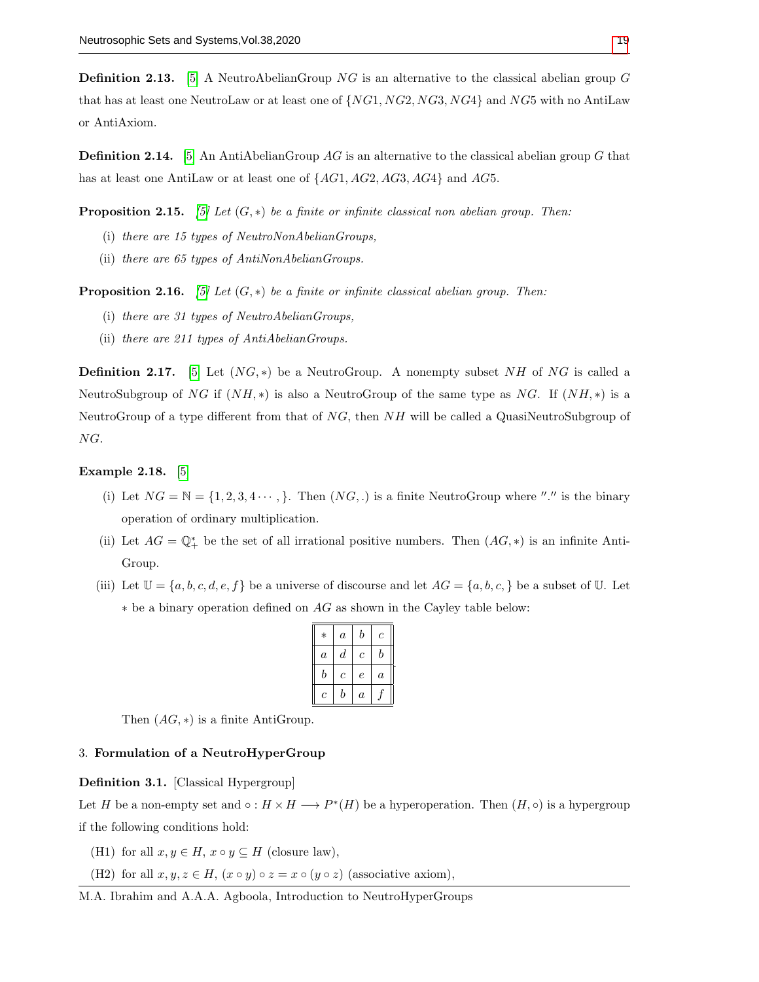**Definition 2.13.** [\[5\]](#page-17-7) A NeutroAbelianGroup  $NG$  is an alternative to the classical abelian group G that has at least one NeutroLaw or at least one of  $\{NG1, NG2, NG3, NG4\}$  and  $NG5$  with no AntiLaw or AntiAxiom.

**Definition 2.14.** [\[5\]](#page-17-7) An AntiAbelianGroup AG is an alternative to the classical abelian group G that has at least one AntiLaw or at least one of  $\{AG1, AG2, AG3, AG4\}$  and  $AG5$ .

**Proposition 2.15.** [\[5\]](#page-17-7) Let  $(G, *)$  be a finite or infinite classical non abelian group. Then:

- (i) there are 15 types of NeutroNonAbelianGroups,
- (ii) there are 65 types of AntiNonAbelianGroups.

**Proposition 2.16.** [\[5\]](#page-17-7) Let  $(G, *)$  be a finite or infinite classical abelian group. Then:

- (i) there are 31 types of NeutroAbelianGroups,
- (ii) there are 211 types of AntiAbelianGroups.

**Definition 2.17.** [\[5\]](#page-17-7) Let  $(NG, *)$  be a NeutroGroup. A nonempty subset NH of NG is called a NeutroSubgroup of NG if  $(NH, *)$  is also a NeutroGroup of the same type as NG. If  $(NH, *)$  is a NeutroGroup of a type different from that of  $NG$ , then  $NH$  will be called a QuasiNeutroSubgroup of NG.

## Example 2.18. [\[5\]](#page-17-7)

- (i) Let  $NG = N = \{1, 2, 3, 4 \cdots \}$ . Then  $(NG, .)$  is a finite NeutroGroup where "." is the binary operation of ordinary multiplication.
- (ii) Let  $AG = \mathbb{Q}^*_+$  be the set of all irrational positive numbers. Then  $(AG, *)$  is an infinite Anti-Group.
- (iii) Let  $\mathbb{U} = \{a, b, c, d, e, f\}$  be a universe of discourse and let  $AG = \{a, b, c, \}$  be a subset of U. Let  $*$  be a binary operation defined on  $AG$  as shown in the Cayley table below:

| $\ast$           | $\it a$          | b              | $\mathfrak c$ |
|------------------|------------------|----------------|---------------|
| $\boldsymbol{a}$ | $\scriptstyle d$ | $\overline{c}$ | b             |
| b                | $\mathcal C$     | $\epsilon$     | $\it a$       |
| с                | b                | $\it a$        |               |

.

Then  $(AG, *)$  is a finite AntiGroup.

#### 3. Formulation of a NeutroHyperGroup

<span id="page-4-0"></span>Definition 3.1. [Classical Hypergroup]

Let H be a non-empty set and  $\circ: H \times H \longrightarrow P^*(H)$  be a hyperoperation. Then  $(H, \circ)$  is a hypergroup if the following conditions hold:

- (H1) for all  $x, y \in H$ ,  $x \circ y \subseteq H$  (closure law),
- (H2) for all  $x, y, z \in H$ ,  $(x \circ y) \circ z = x \circ (y \circ z)$  (associative axiom),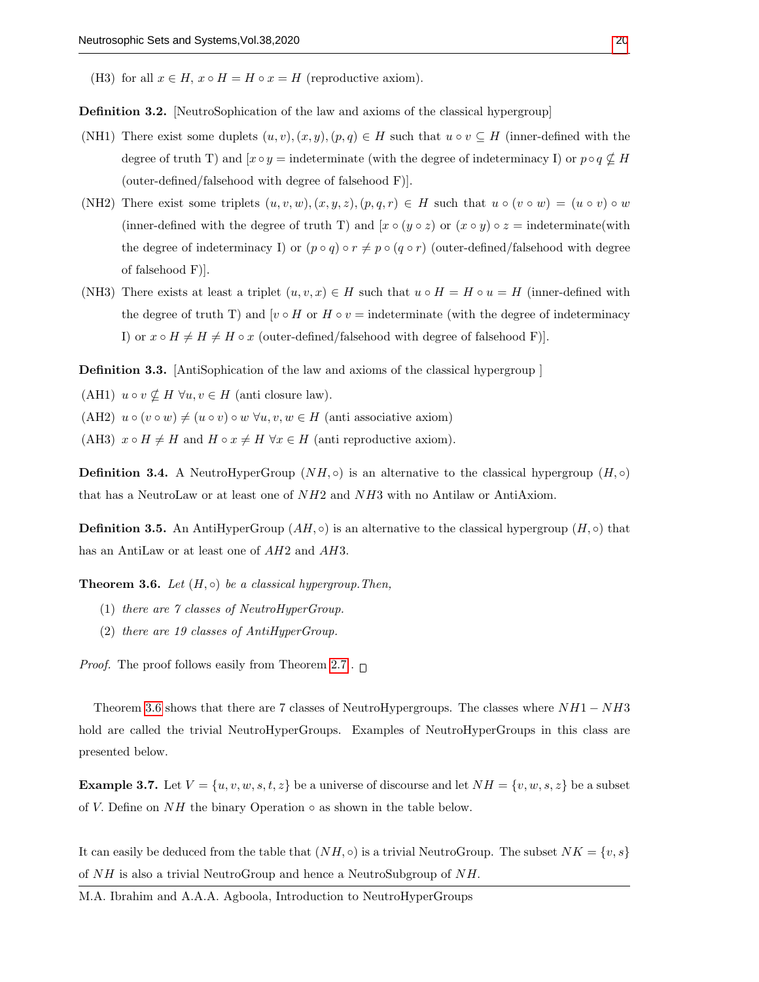(H3) for all  $x \in H$ ,  $x \circ H = H \circ x = H$  (reproductive axiom).

Definition 3.2. [NeutroSophication of the law and axioms of the classical hypergroup]

- (NH1) There exist some duplets  $(u, v), (x, y), (p, q) \in H$  such that  $u \circ v \subseteq H$  (inner-defined with the degree of truth T) and  $[x \circ y = \text{indeterminate}$  (with the degree of indeterminacy I) or  $p \circ q \nsubseteq H$ (outer-defined/falsehood with degree of falsehood F)].
- (NH2) There exist some triplets  $(u, v, w), (x, y, z), (p, q, r) \in H$  such that  $u \circ (v \circ w) = (u \circ v) \circ w$ (inner-defined with the degree of truth T) and  $[x \circ (y \circ z)$  or  $(x \circ y) \circ z =$  indeterminate(with the degree of indeterminacy I) or  $(p \circ q) \circ r \neq p \circ (q \circ r)$  (outer-defined/falsehood with degree of falsehood F)].
- (NH3) There exists at least a triplet  $(u, v, x) \in H$  such that  $u \circ H = H \circ u = H$  (inner-defined with the degree of truth T) and  $[v \circ H \circ v =$  indeterminate (with the degree of indeterminacy I) or  $x \circ H \neq H \neq H \circ x$  (outer-defined/falsehood with degree of falsehood F).

Definition 3.3. [AntiSophication of the law and axioms of the classical hypergroup ]

(AH1)  $u \circ v \nsubseteq H \ \forall u, v \in H$  (anti closure law).

- (AH2)  $u \circ (v \circ w) \neq (u \circ v) \circ w \ \forall u, v, w \in H$  (anti associative axiom)
- (AH3)  $x \circ H \neq H$  and  $H \circ x \neq H \forall x \in H$  (anti reproductive axiom).

**Definition 3.4.** A NeutroHyperGroup ( $NH, \circ$ ) is an alternative to the classical hypergroup ( $H, \circ$ ) that has a NeutroLaw or at least one of  $NH2$  and  $NH3$  with no Antilaw or AntiAxiom.

**Definition 3.5.** An AntiHyperGroup  $(AH, \circ)$  is an alternative to the classical hypergroup  $(H, \circ)$  that has an AntiLaw or at least one of AH2 and AH3.

<span id="page-5-0"></span>**Theorem 3.6.** Let  $(H, \circ)$  be a classical hypergroup. Then,

- (1) there are 7 classes of NeutroHyperGroup.
- (2) there are 19 classes of AntiHyperGroup.

*Proof.* The proof follows easily from Theorem [2.7](#page-2-0).  $\Box$ 

Theorem [3.6](#page-5-0) shows that there are 7 classes of NeutroHypergroups. The classes where  $NH1 - NH3$ hold are called the trivial NeutroHyperGroups. Examples of NeutroHyperGroups in this class are presented below.

**Example 3.7.** Let  $V = \{u, v, w, s, t, z\}$  be a universe of discourse and let  $NH = \{v, w, s, z\}$  be a subset of V. Define on  $NH$  the binary Operation  $\circ$  as shown in the table below.

It can easily be deduced from the table that  $(NH, \circ)$  is a trivial NeutroGroup. The subset  $NK = \{v, s\}$ of  $NH$  is also a trivial NeutroGroup and hence a NeutroSubgroup of  $NH$ .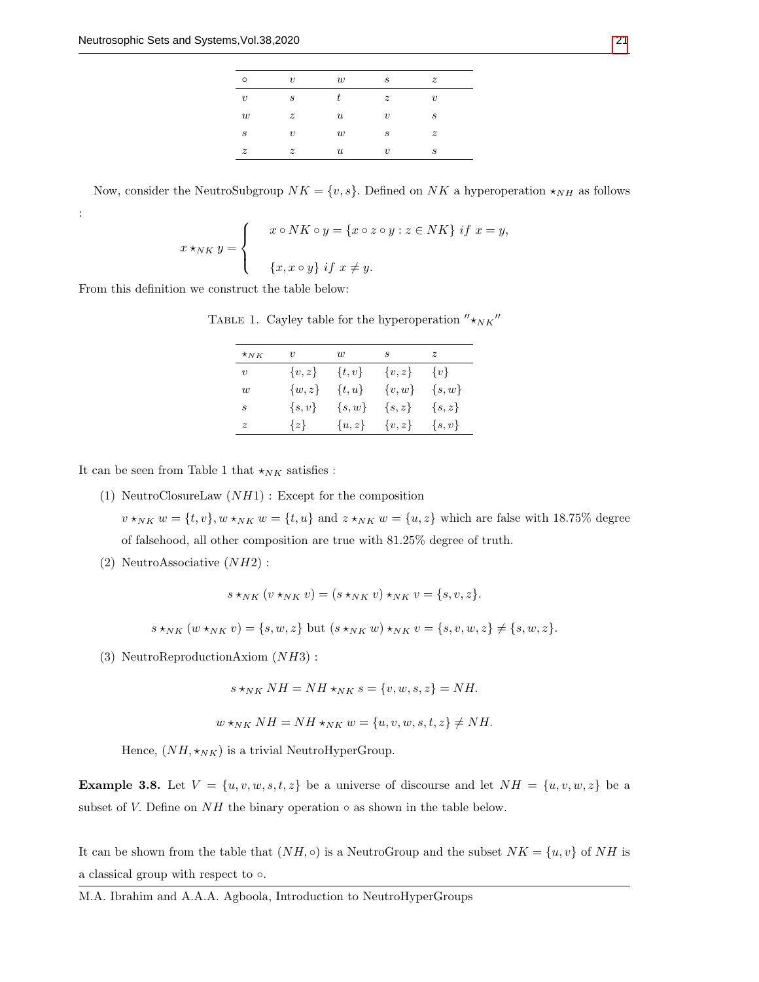:

| $\circ$          | $\boldsymbol{v}$ | w                | S                | $\boldsymbol{z}$ |
|------------------|------------------|------------------|------------------|------------------|
| $\boldsymbol{v}$ | S                | t                | $\boldsymbol{z}$ | $\boldsymbol{v}$ |
| w                | $\boldsymbol{z}$ | $\boldsymbol{u}$ | $\boldsymbol{v}$ | $\boldsymbol{s}$ |
| $\boldsymbol{s}$ | $\boldsymbol{v}$ | w                | $\boldsymbol{s}$ | $\boldsymbol{z}$ |
| $\boldsymbol{z}$ | $\boldsymbol{z}$ | $\boldsymbol{u}$ | $\boldsymbol{v}$ | $\boldsymbol{s}$ |
|                  |                  |                  |                  |                  |

Now, consider the NeutroSubgroup  $NK = \{v, s\}$ . Defined on NK a hyperoperation  $\star_{NH}$  as follows

$$
x \star_{NK} y = \begin{cases} x \circ NK \circ y = \{x \circ z \circ y : z \in NK\} \text{ if } x = y, \\ \{x, x \circ y\} \text{ if } x \neq y. \end{cases}
$$

From this definition we construct the table below:

TABLE 1. Cayley table for the hyperoperation  $"{\star}_{NK}$ "

| $*_{NK}$         | $\boldsymbol{\eta}$ | $\overline{u}$ | S         | $\tilde{z}$ |
|------------------|---------------------|----------------|-----------|-------------|
| $\boldsymbol{v}$ | $\{v,z\}$           | $\{t,v\}$      | $\{v,z\}$ | $\{v\}$     |
| $\overline{u}$   | $\{w,z\}$           | $\{t, u\}$     | $\{v,w\}$ | $\{s,w\}$   |
| S                | $\{s,v\}$           | $\{s,w\}$      | $\{s,z\}$ | $\{s,z\}$   |
| $\tilde{z}$      | $\{z\}$             | $\{u,z\}$      | $\{v,z\}$ | $\{s,v\}$   |
|                  |                     |                |           |             |

It can be seen from Table 1 that  $\star_{NK}$  satisfies :

- (1) NeutroClosureLaw (NH1) : Except for the composition  $v \star_{NK} w = \{t, v\}$ ,  $w \star_{NK} w = \{t, u\}$  and  $z \star_{NK} w = \{u, z\}$  which are false with 18.75% degree of falsehood, all other composition are true with 81.25% degree of truth.
- (2) NeutroAssociative (NH2) :

$$
s \star_{NK} (v \star_{NK} v) = (s \star_{NK} v) \star_{NK} v = \{s, v, z\}.
$$

 $s \star_{NK} (w \star_{NK} v) = \{s, w, z\}$  but  $(s \star_{NK} w) \star_{NK} v = \{s, v, w, z\} \neq \{s, w, z\}.$ 

(3) NeutroReproductionAxiom (NH3) :

$$
s \star_{NK} NH = NH \star_{NK} s = \{v, w, s, z\} = NH.
$$

$$
w \star_{NK} NH = NH \star_{NK} w = \{u, v, w, s, t, z\} \neq NH.
$$

Hence,  $(NH, \star_{NK})$  is a trivial NeutroHyperGroup.

**Example 3.8.** Let  $V = \{u, v, w, s, t, z\}$  be a universe of discourse and let  $NH = \{u, v, w, z\}$  be a subset of V. Define on  $NH$  the binary operation  $\circ$  as shown in the table below.

It can be shown from the table that  $(NH, \circ)$  is a NeutroGroup and the subset  $NK = \{u, v\}$  of  $NH$  is a classical group with respect to ◦.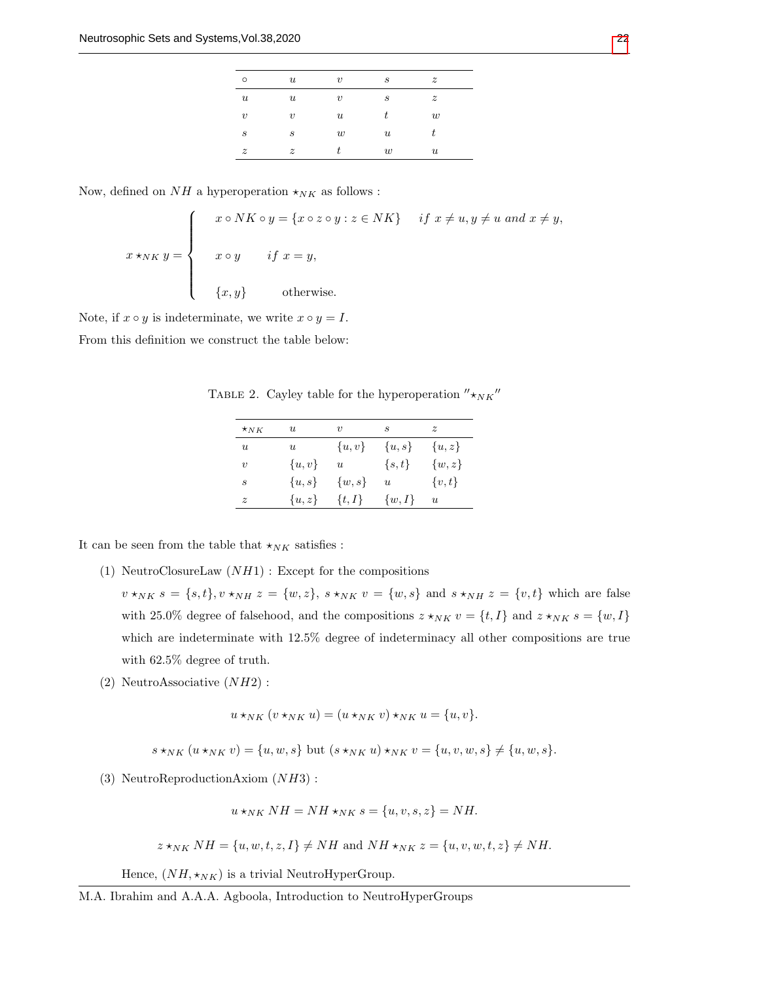| $\circ$             | $\boldsymbol{u}$ | $\boldsymbol{v}$          | $\boldsymbol{s}$ | $\boldsymbol{z}$ |
|---------------------|------------------|---------------------------|------------------|------------------|
| $\boldsymbol{u}$    | $\boldsymbol{u}$ | $\boldsymbol{v}$          | $\boldsymbol{s}$ | $\boldsymbol{z}$ |
| $\boldsymbol{\eta}$ | $\boldsymbol{v}$ | $\boldsymbol{\mathit{u}}$ | t                | $\boldsymbol{w}$ |
| S                   | $\boldsymbol{s}$ | $\boldsymbol{w}$          | $\boldsymbol{u}$ | t.               |
| $\boldsymbol{z}$    | $\boldsymbol{z}$ |                           | w                | $\boldsymbol{u}$ |
|                     |                  |                           |                  |                  |

Now, defined on  $NH$  a hyperoperation  $\star_{NK}$  as follows :

$$
x \star_{NK} y = \begin{cases} x \circ NK \circ y = \{x \circ z \circ y : z \in NK\} & \text{if } x \neq u, y \neq u \text{ and } x \neq y, \\ x \circ y & \text{if } x = y, \\ \{x, y\} & \text{otherwise.} \end{cases}
$$

Note, if  $x \circ y$  is indeterminate, we write  $x \circ y = I$ . From this definition we construct the table below:

TABLE 2. Cayley table for the hyperoperation  $"{\star}_{NK}$ "

| $*_{NK}$                  | $\boldsymbol{u}$ | $\boldsymbol{\eta}$       | S                         | $\tilde{z}$      |
|---------------------------|------------------|---------------------------|---------------------------|------------------|
| $\boldsymbol{\mathit{u}}$ | $\boldsymbol{u}$ | $\{u, v\}$                | $\{u,s\}$                 | $\{u,z\}$        |
| $\boldsymbol{v}$          | $\{u, v\}$       | $\boldsymbol{\mathit{u}}$ | $\{s,t\}$                 | $\{w,z\}$        |
| S                         | $\{u,s\}$        | $\{w,s\}$                 | $\boldsymbol{\mathit{u}}$ | $\{v,t\}$        |
| $\boldsymbol{z}$          | $\{u,z\}$        | $\{t,I\}$                 | $\{w,I\}$                 | $\boldsymbol{u}$ |

It can be seen from the table that  $\star_{NK}$  satisfies :

(1) NeutroClosureLaw  $(NH1)$ : Except for the compositions

 $v \star_{NK} s = \{s, t\}, v \star_{NH} z = \{w, z\}, s \star_{NK} v = \{w, s\}$  and  $s \star_{NH} z = \{v, t\}$  which are false with 25.0% degree of falsehood, and the compositions  $z \star_{NK} v = \{t, I\}$  and  $z \star_{NK} s = \{w, I\}$ which are indeterminate with 12.5% degree of indeterminacy all other compositions are true with 62.5% degree of truth.

(2) NeutroAssociative (NH2) :

$$
u\star_{NK} (v\star_{NK} u) = (u\star_{NK} v)\star_{NK} u = \{u,v\}.
$$

$$
s \star_{NK} (u \star_{NK} v) = \{u, w, s\} \text{ but } (s \star_{NK} u) \star_{NK} v = \{u, v, w, s\} \neq \{u, w, s\}.
$$

(3) NeutroReproductionAxiom (NH3) :

$$
u \star_{NK} NH = NH \star_{NK} s = \{u, v, s, z\} = NH.
$$

$$
z \star_{NK} NH = \{u, w, t, z, I\} \neq NH \text{ and } NH \star_{NK} z = \{u, v, w, t, z\} \neq NH.
$$

Hence,  $(NH, \star_{NK})$  is a trivial NeutroHyperGroup.

M.A. Ibrahim and A.A.A. Agboola, Introduction to NeutroHyperGroups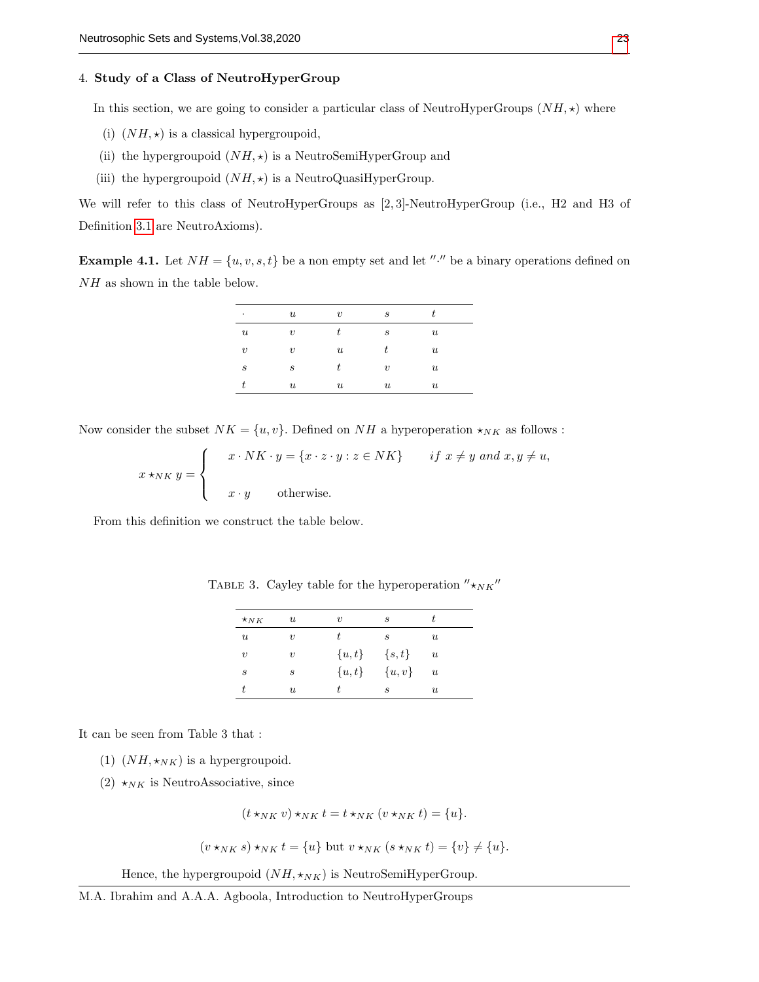## 4. Study of a Class of NeutroHyperGroup

In this section, we are going to consider a particular class of NeutroHyperGroups  $(NH, \star)$  where

- (i)  $(NH, \star)$  is a classical hypergroupoid,
- (ii) the hypergroupoid  $(NH, \star)$  is a NeutroSemiHyperGroup and
- (iii) the hypergroupoid  $(NH, \star)$  is a NeutroQuasiHyperGroup.

We will refer to this class of NeutroHyperGroups as [2, 3]-NeutroHyperGroup (i.e., H2 and H3 of Definition [3.1](#page-4-0) are NeutroAxioms).

**Example 4.1.** Let  $NH = \{u, v, s, t\}$  be a non empty set and let "." be a binary operations defined on NH as shown in the table below.

| ٠                   | $\boldsymbol{u}$ | $\boldsymbol{v}$          | S                |                  |
|---------------------|------------------|---------------------------|------------------|------------------|
| $\boldsymbol{u}$    | $\boldsymbol{v}$ |                           | $\boldsymbol{s}$ | $\boldsymbol{u}$ |
| $\boldsymbol{\eta}$ | $\boldsymbol{v}$ | $\boldsymbol{u}$          | t                | $\boldsymbol{u}$ |
| $\boldsymbol{s}$    | S                | t.                        | $\boldsymbol{v}$ | $\boldsymbol{u}$ |
|                     | $\boldsymbol{u}$ | $\boldsymbol{\mathit{u}}$ | $\boldsymbol{u}$ | $\boldsymbol{u}$ |
|                     |                  |                           |                  |                  |

Now consider the subset  $NK = \{u, v\}$ . Defined on NH a hyperoperation  $\star_{NK}$  as follows :

$$
x \star_{NK} y = \begin{cases} x \cdot NK \cdot y = \{x \cdot z \cdot y : z \in NK\} & \text{if } x \neq y \text{ and } x, y \neq u, \\ x \cdot y & \text{otherwise.} \end{cases}
$$

From this definition we construct the table below.

| $\star_{NK}$     | $\boldsymbol{\mathit{u}}$ | $\boldsymbol{v}$ | S          |                           |
|------------------|---------------------------|------------------|------------|---------------------------|
| $\boldsymbol{u}$ | $\boldsymbol{v}$          | t.               | S          | $\boldsymbol{u}$          |
| $\boldsymbol{v}$ | $\boldsymbol{v}$          | $\{u,t\}$        | $\{s,t\}$  | $\boldsymbol{u}$          |
| S                | $\boldsymbol{s}$          | $\{u,t\}$        | $\{u, v\}$ | $\boldsymbol{\mathit{u}}$ |
| t                | $\boldsymbol{u}$          | t.               | S          | $\boldsymbol{u}$          |

TABLE 3. Cayley table for the hyperoperation  $"{\star}_{NK}$ "

It can be seen from Table 3 that :

- (1)  $(NH, \star_{NK})$  is a hypergroupoid.
- (2)  $\star_{NK}$  is NeutroAssociative, since

$$
(t\star_{NK} v)\star_{NK} t = t\star_{NK} (v\star_{NK} t) = \{u\}.
$$

$$
(v \star_{NK} s) \star_{NK} t = \{u\} \text{ but } v \star_{NK} (s \star_{NK} t) = \{v\} \neq \{u\}.
$$

Hence, the hypergroupoid  $(NH, \star_{NK})$  is NeutroSemiHyperGroup.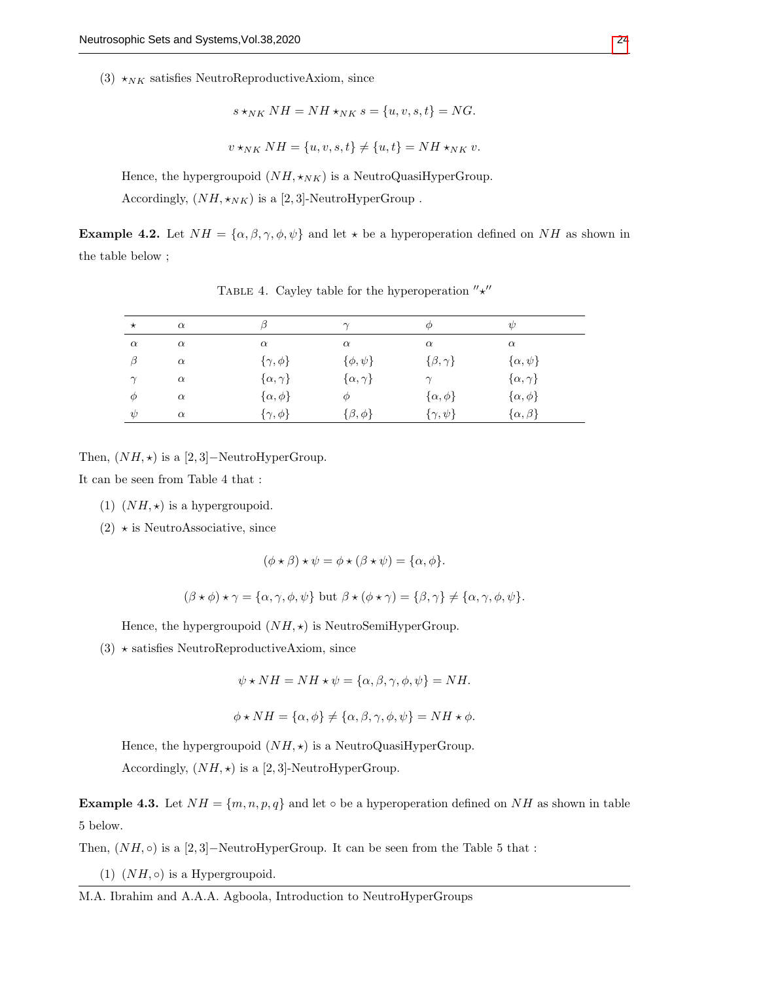(3)  $\star_{NK}$  satisfies NeutroReproductiveAxiom, since

$$
s \star_{NK} NH = NH \star_{NK} s = \{u, v, s, t\} = NG.
$$
  

$$
v \star_{NK} NH = \{u, v, s, t\} \neq \{u, t\} = NH \star_{NK} v.
$$

Hence, the hypergroupoid  $(NH, \star_{NK})$  is a NeutroQuasiHyperGroup.

Accordingly,  $(NH, \star_{NK})$  is a [2,3]-NeutroHyperGroup .

**Example 4.2.** Let  $NH = {\alpha, \beta, \gamma, \phi, \psi}$  and let  $\star$  be a hyperoperation defined on NH as shown in the table below ;

| $\star$  | $\alpha$ |                     | $\gamma$            | Φ                  | $\psi$              |
|----------|----------|---------------------|---------------------|--------------------|---------------------|
| $\alpha$ | $\alpha$ | $\alpha$            | $\alpha$            | $\alpha$           | $\alpha$            |
| β        | $\alpha$ | $\{\gamma,\phi\}$   | $\{\phi,\psi\}$     | $\{\beta,\gamma\}$ | $\{\alpha,\psi\}$   |
| $\sim$   | $\alpha$ | $\{\alpha,\gamma\}$ | $\{\alpha,\gamma\}$ | $\sim$             | $\{\alpha,\gamma\}$ |
| Φ        | $\alpha$ | $\{\alpha,\phi\}$   | Φ                   | $\{\alpha,\phi\}$  | $\{\alpha,\phi\}$   |
| $\psi$   | $\alpha$ | $\{\gamma,\phi\}$   | $\{\beta,\phi\}$    | $\{\gamma,\psi\}$  | $\{\alpha,\beta\}$  |

TABLE 4. Cayley table for the hyperoperation  $"{\star}$ "

Then,  $(NH, \star)$  is a [2,3]–NeutroHyperGroup.

It can be seen from Table 4 that :

(1)  $(NH, \star)$  is a hypergroupoid.

 $(2) \times$  is NeutroAssociative, since

$$
(\phi \star \beta) \star \psi = \phi \star (\beta \star \psi) = \{\alpha, \phi\}.
$$

$$
(\beta \star \phi) \star \gamma = {\alpha, \gamma, \phi, \psi}
$$
 but  $\beta \star (\phi \star \gamma) = {\beta, \gamma} \neq {\alpha, \gamma, \phi, \psi}.$ 

Hence, the hypergroupoid  $(NH, \star)$  is NeutroSemiHyperGroup.

 $(3) \times$  satisfies NeutroReproductiveAxiom, since

$$
\psi \star NH = NH \star \psi = {\alpha, \beta, \gamma, \phi, \psi} = NH.
$$

$$
\phi \star NH = \{\alpha, \phi\} \neq \{\alpha, \beta, \gamma, \phi, \psi\} = NH \star \phi.
$$

Hence, the hypergroupoid  $(NH, \star)$  is a NeutroQuasiHyperGroup.

Accordingly,  $(NH, \star)$  is a [2,3]-NeutroHyperGroup.

<span id="page-9-0"></span>**Example 4.3.** Let  $NH = \{m, n, p, q\}$  and let  $\circ$  be a hyperoperation defined on NH as shown in table 5 below.

Then,  $(NH, \circ)$  is a [2,3]–NeutroHyperGroup. It can be seen from the Table 5 that :

(1)  $(NH, \circ)$  is a Hypergroupoid.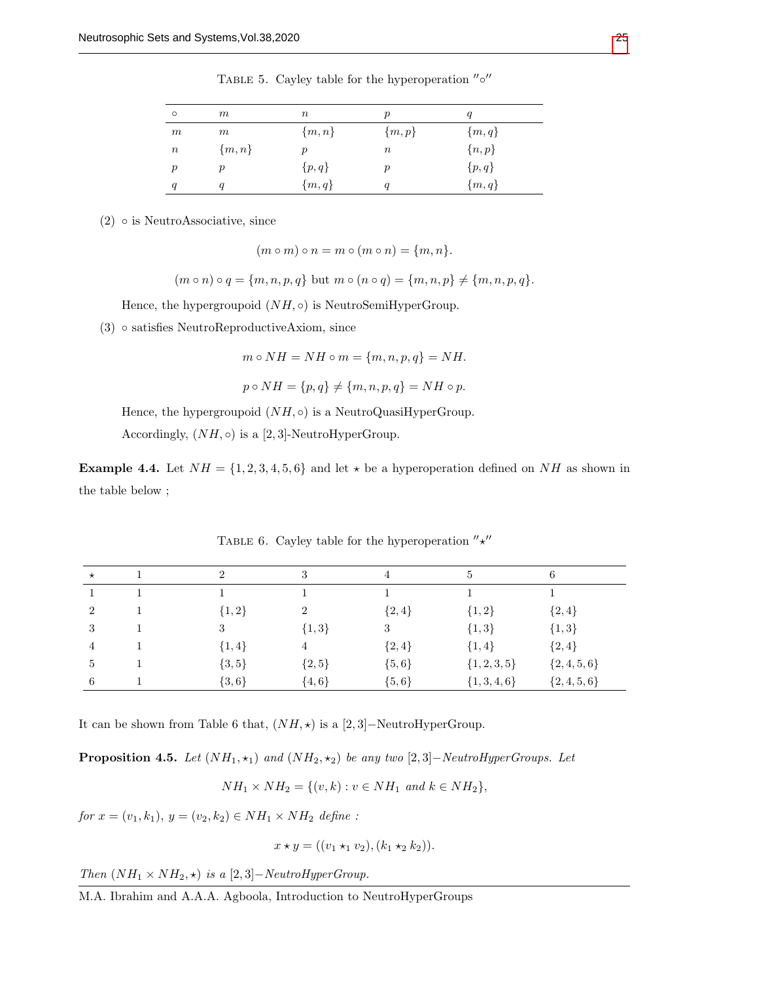| $\circ$          | $m\,$            | $\, n$    | $\boldsymbol{p}$ | q         |
|------------------|------------------|-----------|------------------|-----------|
| $_{m}$           | $\,m$            | $\{m,n\}$ | $\{m,p\}$        | $\{m,q\}$ |
| $\it n$          | $\{m,n\}$        | р         | $\, n$           | ${n, p}$  |
| $\boldsymbol{p}$ | р                | $\{p,q\}$ | р                | $\{p,q\}$ |
| $\boldsymbol{q}$ | $\boldsymbol{q}$ | $\{m,q\}$ | $\boldsymbol{q}$ | $\{m,q\}$ |

TABLE 5. Cayley table for the hyperoperation  $\sim$ <sup>'</sup>

 $(2)$   $\circ$  is NeutroAssociative, since

$$
(m \circ m) \circ n = m \circ (m \circ n) = \{m, n\}.
$$

$$
(m \circ n) \circ q = \{m, n, p, q\}
$$
 but  $m \circ (n \circ q) = \{m, n, p\} \neq \{m, n, p, q\}.$ 

Hence, the hypergroupoid  $(NH, \circ)$  is NeutroSemiHyperGroup.

(3) ◦ satisfies NeutroReproductiveAxiom, since

 $m \circ NH = NH \circ m = \{m, n, p, q\} = NH.$ 

$$
p \circ NH = \{p, q\} \neq \{m, n, p, q\} = NH \circ p.
$$

Hence, the hypergroupoid  $(NH, \circ)$  is a NeutroQuasiHyperGroup.

Accordingly,  $(NH, \circ)$  is a [2,3]-NeutroHyperGroup.

<span id="page-10-1"></span>**Example 4.4.** Let  $NH = \{1, 2, 3, 4, 5, 6\}$  and let  $\star$  be a hyperoperation defined on NH as shown in the table below ;

| $\star$        | $\overline{2}$ | 3              | 4         | 5                | 6             |
|----------------|----------------|----------------|-----------|------------------|---------------|
|                |                |                |           |                  |               |
| $\overline{2}$ | ${1, 2}$       | $\overline{2}$ | ${2,4}$   | ${1,2}$          | ${2, 4}$      |
| 3              | 3              | $\{1,3\}$      | 3         | ${1,3}$          | ${1,3}$       |
| 4              | $\{1,4\}$      | $\overline{4}$ | ${2,4}$   | $\{1,4\}$        | $\{2,4\}$     |
| 5              | $\{3, 5\}$     | $\{2, 5\}$     | $\{5,6\}$ | $\{1, 2, 3, 5\}$ | $\{2,4,5,6\}$ |
| 6              | $\{3,6\}$      | $\{4, 6\}$     | $\{5,6\}$ | $\{1,3,4,6\}$    | $\{2,4,5,6\}$ |

TABLE 6. Cayley table for the hyperoperation  $"{\star}$ "

It can be shown from Table 6 that,  $(NH, \star)$  is a [2,3]–NeutroHyperGroup.

<span id="page-10-0"></span>**Proposition 4.5.** Let  $(NH_1, \star_1)$  and  $(NH_2, \star_2)$  be any two [2,3]–NeutroHyperGroups. Let

$$
NH_1 \times NH_2 = \{(v, k) : v \in NH_1 \text{ and } k \in NH_2\},
$$

for  $x = (v_1, k_1), y = (v_2, k_2) \in NH_1 \times NH_2$  define:

$$
x \star y = ((v_1 \star_1 v_2), (k_1 \star_2 k_2)).
$$

Then  $(NH_1 \times NH_2, \star)$  is a [2,3]–NeutroHyperGroup.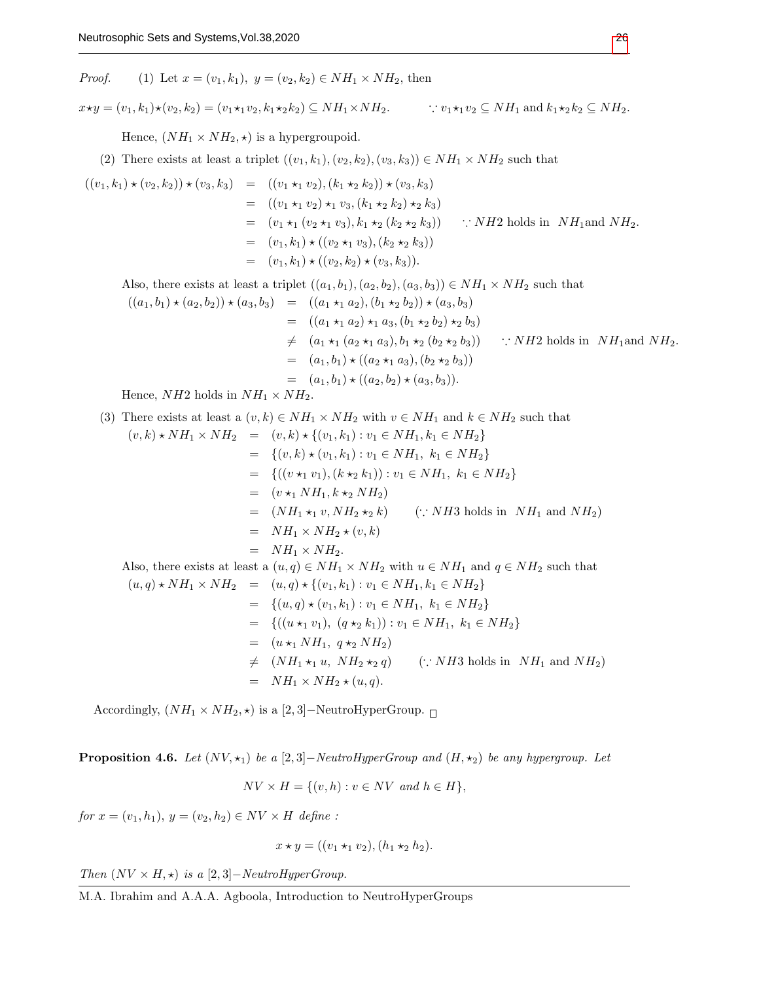*Proof.* (1) Let  $x = (v_1, k_1), y = (v_2, k_2) \in NH_1 \times NH_2$ , then

 $x \star y = (v_1, k_1) \star (v_2, k_2) = (v_1 \star_1 v_2, k_1 \star_2 k_2) \subseteq NH_1 \times NH_2.$   $\therefore v_1 \star_1 v_2 \subseteq NH_1$  and  $k_1 \star_2 k_2 \subseteq NH_2.$ 

Hence,  $(NH_1 \times NH_2, \star)$  is a hypergroupoid.

(2) There exists at least a triplet  $((v_1, k_1), (v_2, k_2), (v_3, k_3)) \in NH_1 \times NH_2$  such that

$$
((v_1, k_1) \star (v_2, k_2)) \star (v_3, k_3) = ((v_1 \star_1 v_2), (k_1 \star_2 k_2)) \star (v_3, k_3)
$$
  
\n
$$
= ((v_1 \star_1 v_2) \star_1 v_3, (k_1 \star_2 k_2) \star_2 k_3)
$$
  
\n
$$
= (v_1 \star_1 (v_2 \star_1 v_3), k_1 \star_2 (k_2 \star_2 k_3)) \quad \therefore NH2 \text{ holds in } NH_1 \text{ and } NH_2.
$$
  
\n
$$
= (v_1, k_1) \star ((v_2 \star_1 v_3), (k_2 \star_2 k_3))
$$
  
\n
$$
= (v_1, k_1) \star ((v_2, k_2) \star (v_3, k_3)).
$$

Also, there exists at least a triplet  $((a_1, b_1), (a_2, b_2), (a_3, b_3)) \in NH_1 \times NH_2$  such that

$$
((a_1, b_1) \star (a_2, b_2)) \star (a_3, b_3) = ((a_1 \star_1 a_2), (b_1 \star_2 b_2)) \star (a_3, b_3)
$$
  
\n
$$
= ((a_1 \star_1 a_2) \star_1 a_3, (b_1 \star_2 b_2) \star_2 b_3)
$$
  
\n
$$
\neq (a_1 \star_1 (a_2 \star_1 a_3), b_1 \star_2 (b_2 \star_2 b_3)) \quad \because NH2 \text{ holds in } NH_1 \text{ and } NH_2.
$$
  
\n
$$
= (a_1, b_1) \star ((a_2 \star_1 a_3), (b_2 \star_2 b_3))
$$
  
\n
$$
= (a_1, b_1) \star ((a_2, b_2) \star (a_3, b_3)).
$$

Hence, *NH2* holds in  $NH_1 \times NH_2$ .

(3) There exists at least a 
$$
(v, k) \in NH_1 \times NH_2
$$
 with  $v \in NH_1$  and  $k \in NH_2$  such that  
\n
$$
(v, k) \star NH_1 \times NH_2 = (v, k) \star \{(v_1, k_1) : v_1 \in NH_1, k_1 \in NH_2\}
$$
\n
$$
= \{(v, k) \star (v_1, k_1) : v_1 \in NH_1, k_1 \in NH_2\}
$$
\n
$$
= \{(v *_1 v_1), (k *_2 k_1)) : v_1 \in NH_1, k_1 \in NH_2\}
$$
\n
$$
= (v *_1 NH_1, k *_2 NH_2)
$$
\n
$$
= (NH_1 *_1 v, NH_2 *_2 k) \quad (\because NH_3 \text{ holds in } NH_1 \text{ and } NH_2)
$$
\n
$$
= NH_1 \times NH_2 \star (v, k)
$$
\n
$$
= NH_1 \times NH_2.
$$
\nAlso, there exists at least a  $(u, q) \in NH_1 \times NH_2$  with  $u \in NH_1$  and  $q \in NH_2$  such that  
\n $(u, q) \star NH_1 \times NH_2 = (u, q) \star \{(v_1, k_1) : v_1 \in NH_1, k_1 \in NH_2\}$ \n
$$
= \{(u, q) \star (v_1, k_1) : v_1 \in NH_1, k_1 \in NH_2\}
$$
\n
$$
= \{(u *_1 v_1), (q *_2 k_1)) : v_1 \in NH_1, k_1 \in NH_2\}
$$
\n
$$
= (u *_1 NH_1, q *_2 NH_2)
$$
\n
$$
= (u *_1 NH_1, q *_2 NH_2)
$$
\n
$$
= (NH_1 *_1 u, NH_2 *_2 q) \quad (\because NH_3 \text{ holds in } NH_1 \text{ and } NH_2)
$$
\n
$$
= NH_1 \times NH_2 * (u, q).
$$

Accordingly,  $(NH_1 \times NH_2, \star)$  is a [2,3]–NeutroHyperGroup.  $\sqcap$ 

**Proposition 4.6.** Let  $(NV, \star_1)$  be a [2,3]–NeutroHyperGroup and  $(H, \star_2)$  be any hypergroup. Let

$$
NV \times H = \{(v, h) : v \in NV \text{ and } h \in H\},\
$$

for  $x = (v_1, h_1), y = (v_2, h_2) \in NV \times H$  define:

$$
x \star y = ((v_1 \star_1 v_2), (h_1 \star_2 h_2).
$$

Then  $(NV \times H, \star)$  is a [2,3]–NeutroHyperGroup.

M.A. Ibrahim and A.A.A. Agboola, Introduction to NeutroHyperGroups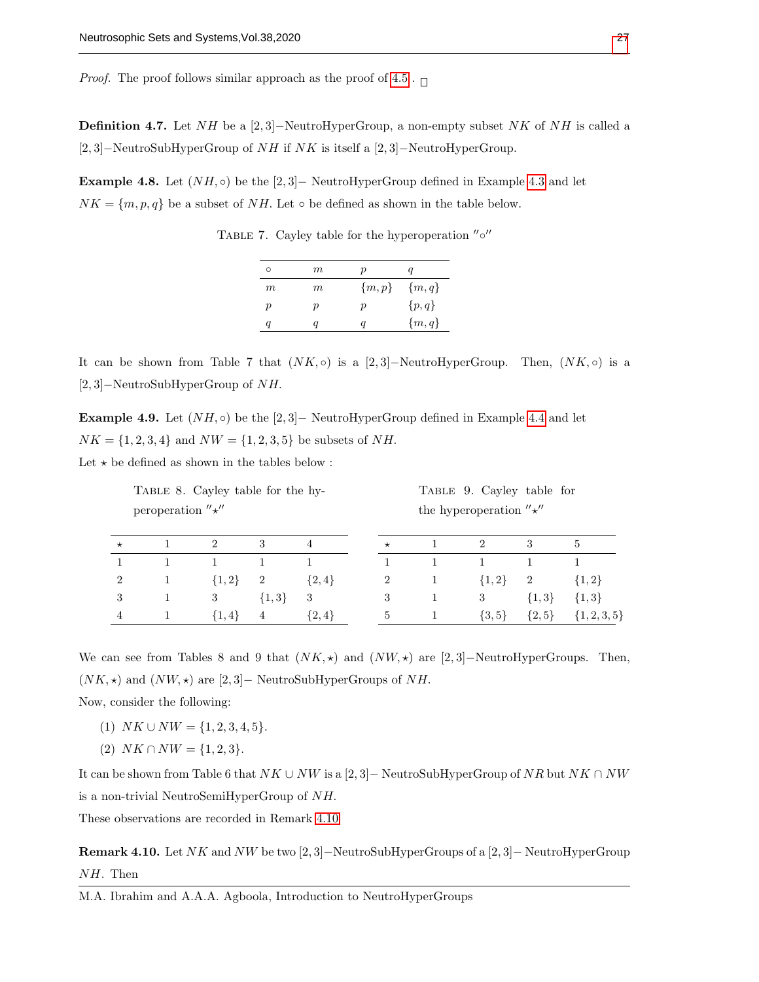*Proof.* The proof follows similar approach as the proof of [4.5](#page-10-0) .  $\Box$ 

**Definition 4.7.** Let NH be a [2,3]–NeutroHyperGroup, a non-empty subset NK of NH is called a [2, 3]−NeutroSubHyperGroup of NH if NK is itself a [2, 3]−NeutroHyperGroup.

<span id="page-12-2"></span>Example 4.8. Let  $(NH, \circ)$  be the [2,3]– NeutroHyperGroup defined in Example [4.3](#page-9-0) and let  $NK = \{m, p, q\}$  be a subset of NH. Let  $\circ$  be defined as shown in the table below.

TABLE 7. Cayley table for the hyperoperation  $\sim$ <sup>'</sup>

| O                | m | р                |           |
|------------------|---|------------------|-----------|
| m                | m | $\{m,p\}$        | $\{m,q\}$ |
| $\boldsymbol{p}$ | р | $\boldsymbol{p}$ | $\{p,q\}$ |
|                  |   |                  | $\{m,q\}$ |

It can be shown from Table 7 that  $(NK, \circ)$  is a [2,3]–NeutroHyperGroup. Then,  $(NK, \circ)$  is a [2, 3]−NeutroSubHyperGroup of NH.

<span id="page-12-1"></span>**Example 4.9.** Let  $(NH, \circ)$  be the [2,3]– NeutroHyperGroup defined in Example [4.4](#page-10-1) and let  $NK = \{1, 2, 3, 4\}$  and  $NW = \{1, 2, 3, 5\}$  be subsets of NH.

Let  $\star$  be defined as shown in the tables below :

| TABLE 8. Cayley table for the hy-<br>peroperation $''\star''$ |  |               |                |           | TABLE 9. Cayley table for<br>the hyperoperation $''\star''$ |                |                |                  |
|---------------------------------------------------------------|--|---------------|----------------|-----------|-------------------------------------------------------------|----------------|----------------|------------------|
| $\star$                                                       |  | $\mathcal{D}$ |                | 4         | $\star$                                                     | $\overline{2}$ |                | 5                |
|                                                               |  |               |                |           |                                                             |                |                |                  |
| $\overline{2}$                                                |  | $\{1,2\}$     | $\overline{2}$ | $\{2,4\}$ | $\overline{2}$                                              | $\{1,2\}$      | $\overline{2}$ | $\{1,2\}$        |
| 3                                                             |  | 3             | $\{1,3\}$      | 3         | 3                                                           | 3              | $\{1,3\}$      | $\{1,3\}$        |
|                                                               |  | $\{1,4\}$     | 4              | $\{2,4\}$ | 5                                                           | $\{3, 5\}$     | $\{2, 5\}$     | $\{1, 2, 3, 5\}$ |

We can see from Tables 8 and 9 that  $(NK, \star)$  and  $(NW, \star)$  are [2,3]–NeutroHyperGroups. Then,  $(NK, \star)$  and  $(NW, \star)$  are [2,3]– NeutroSubHyperGroups of NH.

Now, consider the following:

- (1)  $NK \cup NW = \{1, 2, 3, 4, 5\}.$
- (2)  $NK \cap NW = \{1, 2, 3\}.$

It can be shown from Table 6 that  $NK \cup NW$  is a [2,3]– NeutroSubHyperGroup of NR but  $NK \cap NW$ is a non-trivial NeutroSemiHyperGroup of NH.

These observations are recorded in Remark [4.10](#page-12-0)

<span id="page-12-0"></span>Remark 4.10. Let  $NK$  and  $NW$  be two  $[2,3]$ –NeutroSubHyperGroups of a  $[2,3]$ –NeutroHyperGroup NH. Then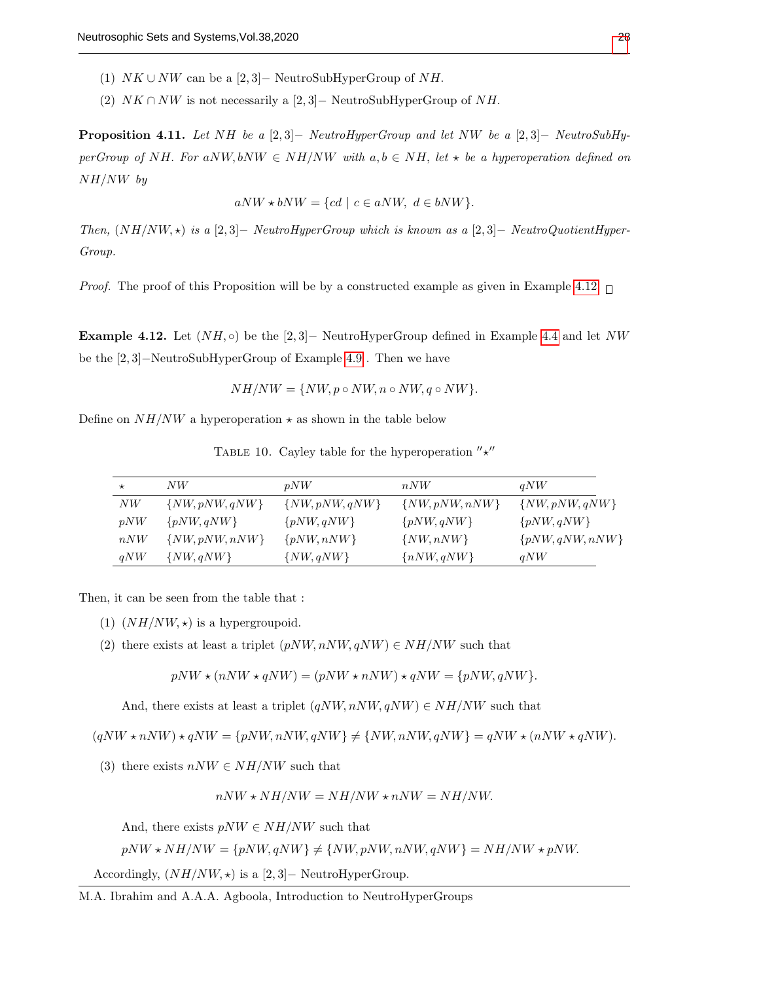- (1)  $NK \cup NW$  can be a [2,3]– NeutroSubHyperGroup of NH.
- (2)  $NK \cap NW$  is not necessarily a [2,3]– NeutroSubHyperGroup of NH.

**Proposition 4.11.** Let NH be a [2,3]– NeutroHyperGroup and let NW be a [2,3]– NeutroSubHyperGroup of NH. For aNW, bNW  $\in NH/NW$  with  $a, b \in NH$ , let  $\star$  be a hyperoperation defined on NH/NW by

$$
aNW * bNW = \{cd \mid c \in aNW, d \in bNW\}.
$$

Then,  $(NH/NW, \star)$  is a [2,3]– NeutroHyperGroup which is known as a [2,3]– NeutroQuotientHyper-Group.

*Proof.* The proof of this Proposition will be by a constructed example as given in Example [4.12.](#page-13-0)  $\Box$ 

<span id="page-13-0"></span>**Example 4.12.** Let  $(NH, \circ)$  be the [2,3]– NeutroHyperGroup defined in Example [4.4](#page-10-1) and let NW be the [2, 3]−NeutroSubHyperGroup of Example [4.9](#page-12-1) . Then we have

$$
NH/NW = \{NW, p \circ NW, n \circ NW, q \circ NW\}.
$$

Define on  $NH/NW$  a hyperoperation  $\star$  as shown in the table below

TABLE 10. Cayley table for the hyperoperation  $"{\star}$ "

| $\star$ | NW                 | pNW                | nNW                | qNW                 |
|---------|--------------------|--------------------|--------------------|---------------------|
| N W     | $\{NW, pNW, qNW\}$ | $\{NW, pNW, qNW\}$ | $\{NW, pNW, nNW\}$ | $\{NW, pNW, qNW\}$  |
| pNW     | $\{pNW, qNW\}$     | $\{pNW, qNW\}$     | $\{pNW, qNW\}$     | $\{pNW, qNW\}$      |
| nNW     | $\{NW, pNW, nNW\}$ | $\{pNW, nNW\}$     | $\{NW, nNW\}$      | $\{pNW, qNW, nNW\}$ |
| qNW     | $\{NW,qNW\}$       | $\{NW,qNW\}$       | ${nNW,qNW}$        | qNW                 |

Then, it can be seen from the table that :

- (1)  $(NH/NW, \star)$  is a hypergroupoid.
- (2) there exists at least a triplet  $(pNW, nNW, qNW) \in NH/NW$  such that

$$
pNW \star (nNW \star qNW) = (pNW \star nNW) \star qNW = \{pNW, qNW\}.
$$

And, there exists at least a triplet  $(qNW, nNW, qNW) \in NH/NW$  such that

 $(qNW * nNW) * qNW = \{pNW, nNW, qNW\} \neq \{NW, nNW, qNW\} = qNW * (nNW * qNW).$ 

(3) there exists  $nNW \in NH/NW$  such that

 $nNW \star NH/NW = NH/NW \star nNW = NH/NW.$ 

And, there exists  $pNW \in NH/NW$  such that

$$
pNW \star NH/NW = \{pNW, qNW\} \neq \{NW, pNW, nNW, qNW\} = NH/NW \star pNW.
$$

Accordingly,  $(NH/NW, \star)$  is a [2,3]– NeutroHyperGroup.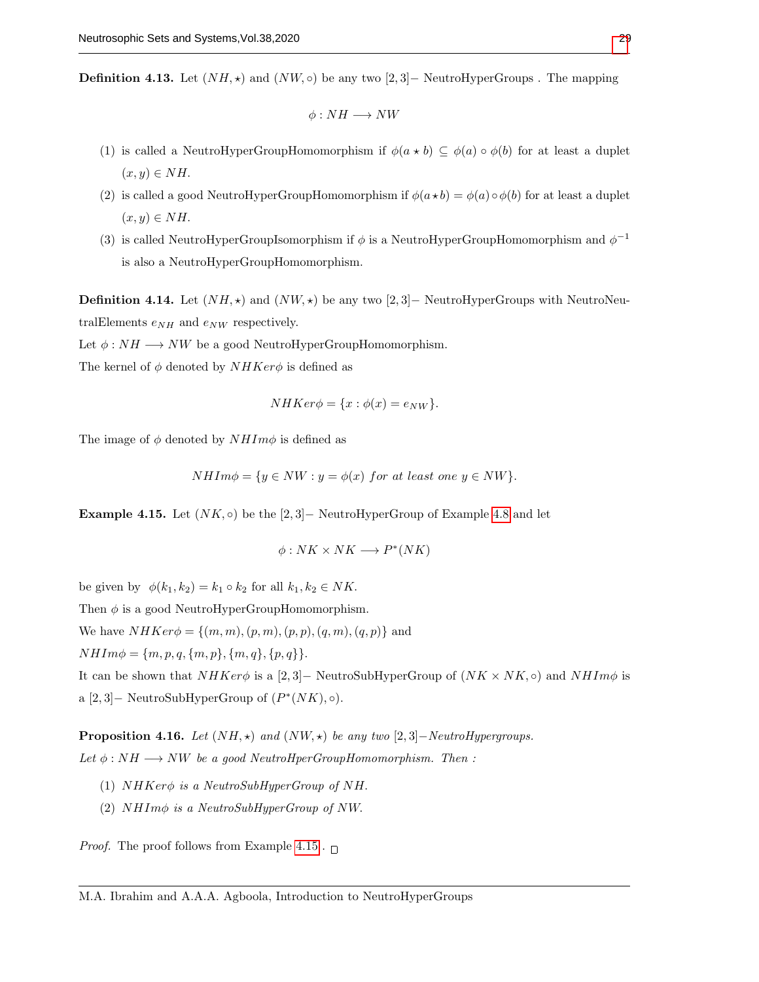**Definition 4.13.** Let  $(NH, \star)$  and  $(NW, \circ)$  be any two [2,3]– NeutroHyperGroups . The mapping

$$
\phi: NH \longrightarrow NW
$$

- (1) is called a NeutroHyperGroupHomomorphism if  $\phi(a \star b) \subseteq \phi(a) \circ \phi(b)$  for at least a duplet  $(x, y) \in NH$ .
- (2) is called a good NeutroHyperGroupHomomorphism if  $\phi(a \star b) = \phi(a) \circ \phi(b)$  for at least a duplet  $(x, y) \in NH$ .
- (3) is called NeutroHyperGroupIsomorphism if  $\phi$  is a NeutroHyperGroupHomomorphism and  $\phi^{-1}$ is also a NeutroHyperGroupHomomorphism.

**Definition 4.14.** Let  $(NH, \star)$  and  $(NW, \star)$  be any two [2,3]– NeutroHyperGroups with NeutroNeutral<br>Elements  $e_{NH}$  and  $e_{NW}$  respectively.

Let  $\phi: NH \longrightarrow NW$  be a good NeutroHyperGroupHomomorphism.

The kernel of  $\phi$  denoted by  $NHKer\phi$  is defined as

$$
NHKer\phi = \{x : \phi(x) = e_{NW}\}.
$$

The image of  $\phi$  denoted by  $NHIm\phi$  is defined as

$$
NH Im \phi = \{ y \in NW : y = \phi(x) \text{ for at least one } y \in NW \}.
$$

<span id="page-14-0"></span>Example 4.15. Let  $(NK, \circ)$  be the [2,3]– NeutroHyperGroup of Example [4.8](#page-12-2) and let

$$
\phi: NK \times NK \longrightarrow P^*(NK)
$$

be given by  $\phi(k_1, k_2) = k_1 \circ k_2$  for all  $k_1, k_2 \in NK$ . Then  $\phi$  is a good NeutroHyperGroupHomomorphism. We have  $NHKer\phi = \{(m, m), (p, m), (p, p), (q, m), (q, p)\}\$ and  $NHIm\phi = \{m, p, q, \{m, p\}, \{m, q\}, \{p, q\}\}.$ It can be shown that  $NHKer\phi$  is a [2,3]– NeutroSubHyperGroup of  $(NK \times NK, \circ)$  and  $NHIm\phi$  is a [2,3] – NeutroSubHyperGroup of  $(P^*(NK), \circ)$ .

**Proposition 4.16.** Let  $(NH, \star)$  and  $(NW, \star)$  be any two [2, 3]–NeutroHypergroups. Let  $\phi: NH \longrightarrow NW$  be a good NeutroHperGroupHomomorphism. Then :

- (1)  $NHKer\phi$  is a NeutroSubHyperGroup of NH.
- (2) NHImφ is a NeutroSubHyperGroup of NW.

*Proof.* The proof follows from Example [4.15](#page-14-0).  $\Box$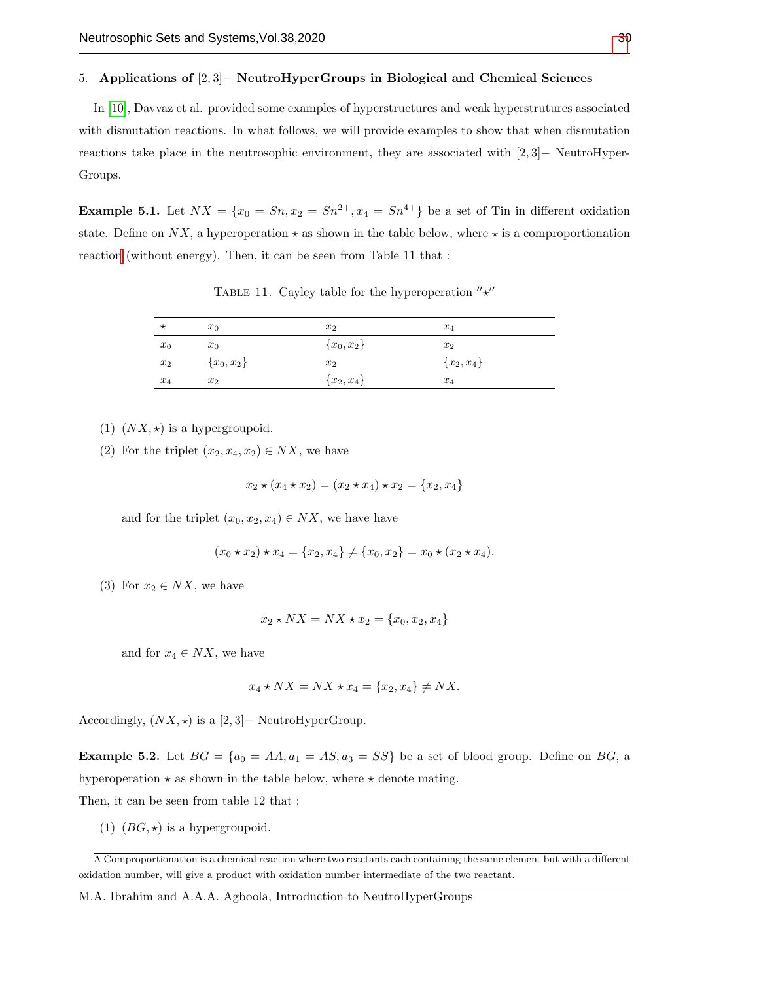## 5. Applications of [2, 3]− NeutroHyperGroups in Biological and Chemical Sciences

In [\[10\]](#page-17-19), Davvaz et al. provided some examples of hyperstructures and weak hyperstrutures associated with dismutation reactions. In what follows, we will provide examples to show that when dismutation reactions take place in the neutrosophic environment, they are associated with [2, 3]− NeutroHyper-Groups.

<span id="page-15-1"></span>**Example 5.1.** Let  $NX = \{x_0 = Sn, x_2 = Sn^{2+}, x_4 = Sn^{4+}\}\$  be a set of Tin in different oxidation state. Define on  $NX$ , a hyperoperation  $\star$  as shown in the table below, where  $\star$  is a comproportionation reactio[n](#page-15-0) (without energy). Then, it can be seen from Table 11 that :

| $\star$ | $x_0$        | $x_2$        | $x_4$        |
|---------|--------------|--------------|--------------|
| $x_0$   | $x_0$        | ${x_0, x_2}$ | $x_2$        |
| $x_2$   | ${x_0, x_2}$ | $x_2$        | ${x_2, x_4}$ |
| $x_4$   | $x_2$        | ${x_2, x_4}$ | $x_4$        |

TABLE 11. Cayley table for the hyperoperation  $\mathscr{N}_{\star}$ 

(1)  $(NX, \star)$  is a hypergroupoid.

(2) For the triplet  $(x_2, x_4, x_2) \in N X$ , we have

$$
x_2 \star (x_4 \star x_2) = (x_2 \star x_4) \star x_2 = \{x_2, x_4\}
$$

and for the triplet  $(x_0, x_2, x_4) \in N X$ , we have have

$$
(x_0 \star x_2) \star x_4 = \{x_2, x_4\} \neq \{x_0, x_2\} = x_0 \star (x_2 \star x_4).
$$

(3) For  $x_2 \in N X$ , we have

$$
x_2 * N X = N X * x_2 = \{x_0, x_2, x_4\}
$$

and for  $x_4 \in N X$ , we have

$$
x_4 \star N X = N X \star x_4 = \{x_2, x_4\} \neq N X.
$$

Accordingly,  $(NX, \star)$  is a [2,3]– NeutroHyperGroup.

<span id="page-15-2"></span>**Example 5.2.** Let  $BG = \{a_0 = AA, a_1 = AS, a_3 = SS\}$  be a set of blood group. Define on BG, a hyperoperation  $\star$  as shown in the table below, where  $\star$  denote mating.

Then, it can be seen from table 12 that :

(1)  $(BG, \star)$  is a hypergroupoid.

<span id="page-15-0"></span>A Comproportionation is a chemical reaction where two reactants each containing the same element but with a different oxidation number, will give a product with oxidation number intermediate of the two reactant.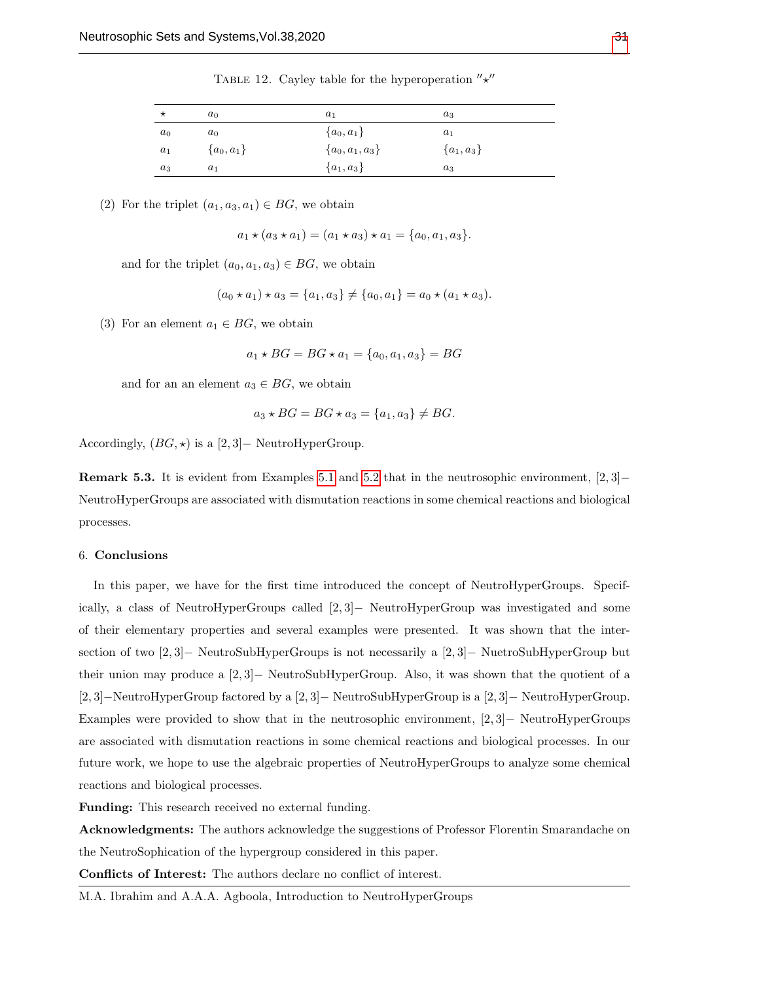| $^\star$ | $a_0$          | $a_1$               | $a_3$          |  |
|----------|----------------|---------------------|----------------|--|
| $a_0$    | $a_0$          | $\{a_0, a_1\}$      | $a_1$          |  |
| $a_1$    | $\{a_0, a_1\}$ | $\{a_0, a_1, a_3\}$ | $\{a_1, a_3\}$ |  |
| $a_3$    | $a_1$          | $\{a_1, a_3\}$      | $a_3$          |  |

TABLE 12. Cayley table for the hyperoperation  $\mathscr{N}_{\star}$ 

(2) For the triplet  $(a_1, a_3, a_1) \in BG$ , we obtain

$$
a_1 \star (a_3 \star a_1) = (a_1 \star a_3) \star a_1 = \{a_0, a_1, a_3\}.
$$

and for the triplet  $(a_0, a_1, a_3) \in BG$ , we obtain

$$
(a_0 \star a_1) \star a_3 = \{a_1, a_3\} \neq \{a_0, a_1\} = a_0 \star (a_1 \star a_3).
$$

(3) For an element  $a_1 \in BG$ , we obtain

$$
a_1 \star BG = BG \star a_1 = \{a_0, a_1, a_3\} = BG
$$

and for an an element  $a_3 \in BG$ , we obtain

$$
a_3 \star BG = BG \star a_3 = \{a_1, a_3\} \neq BG.
$$

Accordingly,  $(BG, \star)$  is a [2,3]– NeutroHyperGroup.

Remark 5.3. It is evident from Examples [5.1](#page-15-1) and [5.2](#page-15-2) that in the neutrosophic environment, [2, 3]− NeutroHyperGroups are associated with dismutation reactions in some chemical reactions and biological processes.

#### 6. Conclusions

In this paper, we have for the first time introduced the concept of NeutroHyperGroups. Specifically, a class of NeutroHyperGroups called [2, 3]− NeutroHyperGroup was investigated and some of their elementary properties and several examples were presented. It was shown that the intersection of two [2, 3]− NeutroSubHyperGroups is not necessarily a [2, 3]− NuetroSubHyperGroup but their union may produce a [2, 3]− NeutroSubHyperGroup. Also, it was shown that the quotient of a [2, 3]−NeutroHyperGroup factored by a [2, 3]− NeutroSubHyperGroup is a [2, 3]− NeutroHyperGroup. Examples were provided to show that in the neutrosophic environment, [2, 3]− NeutroHyperGroups are associated with dismutation reactions in some chemical reactions and biological processes. In our future work, we hope to use the algebraic properties of NeutroHyperGroups to analyze some chemical reactions and biological processes.

Funding: This research received no external funding.

Acknowledgments: The authors acknowledge the suggestions of Professor Florentin Smarandache on the NeutroSophication of the hypergroup considered in this paper.

Conflicts of Interest: The authors declare no conflict of interest.